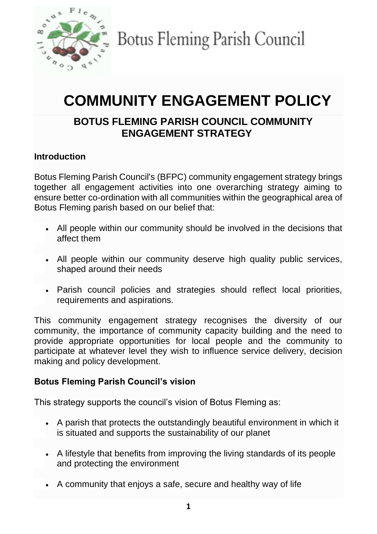

Botus Fleming Parish Council

# **COMMUNITY ENGAGEMENT POLICY**

## **BOTUS FLEMING PARISH COUNCIL COMMUNITY ENGAGEMENT STRATEGY**

## **Introduction**

Botus Fleming Parish Council's (BFPC) community engagement strategy brings together all engagement activities into one overarching strategy aiming to ensure better co-ordination with all communities within the geographical area of Botus Fleming parish based on our belief that:

- All people within our community should be involved in the decisions that affect them
- All people within our community deserve high quality public services, shaped around their needs
- Parish council policies and strategies should reflect local priorities, requirements and aspirations.

This community engagement strategy recognises the diversity of our community, the importance of community capacity building and the need to provide appropriate opportunities for local people and the community to participate at whatever level they wish to influence service delivery, decision making and policy development.

#### **Botus Fleming Parish Council's vision**

This strategy supports the council's vision of Botus Fleming as:

- A parish that protects the outstandingly beautiful environment in which it is situated and supports the sustainability of our planet
- A lifestyle that benefits from improving the living standards of its people and protecting the environment
- A community that enjoys a safe, secure and healthy way of life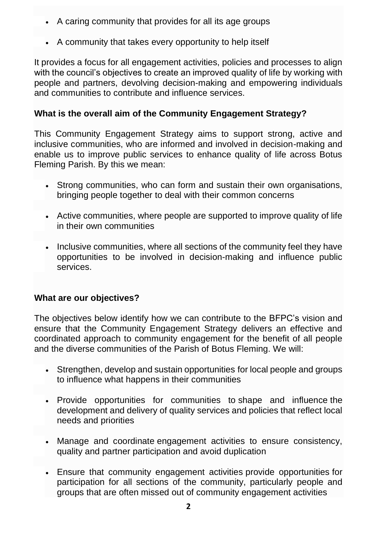- A caring community that provides for all its age groups
- A community that takes every opportunity to help itself

It provides a focus for all engagement activities, policies and processes to align with the council's objectives to create an improved quality of life by working with people and partners, devolving decision-making and empowering individuals and communities to contribute and influence services.

## **What is the overall aim of the Community Engagement Strategy?**

This Community Engagement Strategy aims to support strong, active and inclusive communities, who are informed and involved in decision-making and enable us to improve public services to enhance quality of life across Botus Fleming Parish. By this we mean:

- Strong communities, who can form and sustain their own organisations, bringing people together to deal with their common concerns
- Active communities, where people are supported to improve quality of life in their own communities
- Inclusive communities, where all sections of the community feel they have opportunities to be involved in decision-making and influence public services.

#### **What are our objectives?**

The objectives below identify how we can contribute to the BFPC's vision and ensure that the Community Engagement Strategy delivers an effective and coordinated approach to community engagement for the benefit of all people and the diverse communities of the Parish of Botus Fleming. We will:

- Strengthen, develop and sustain opportunities for local people and groups to influence what happens in their communities
- Provide opportunities for communities to shape and influence the development and delivery of quality services and policies that reflect local needs and priorities
- Manage and coordinate engagement activities to ensure consistency, quality and partner participation and avoid duplication
- Ensure that community engagement activities provide opportunities for participation for all sections of the community, particularly people and groups that are often missed out of community engagement activities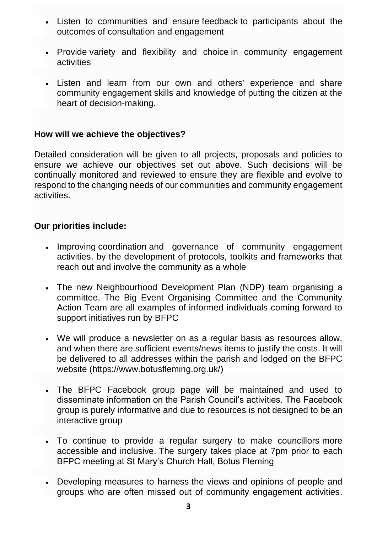- Listen to communities and ensure feedback to participants about the outcomes of consultation and engagement
- Provide variety and flexibility and choice in community engagement activities
- Listen and learn from our own and others' experience and share community engagement skills and knowledge of putting the citizen at the heart of decision-making.

#### **How will we achieve the objectives?**

Detailed consideration will be given to all projects, proposals and policies to ensure we achieve our objectives set out above. Such decisions will be continually monitored and reviewed to ensure they are flexible and evolve to respond to the changing needs of our communities and community engagement activities.

#### **Our priorities include:**

- Improving coordination and governance of community engagement activities, by the development of protocols, toolkits and frameworks that reach out and involve the community as a whole
- The new Neighbourhood Development Plan (NDP) team organising a committee, The Big Event Organising Committee and the Community Action Team are all examples of informed individuals coming forward to support initiatives run by BFPC
- We will produce a newsletter on as a regular basis as resources allow, and when there are sufficient events/news items to justify the costs. It will be delivered to all addresses within the parish and lodged on the BFPC website (https://www.botusfleming.org.uk/)
- The BFPC Facebook group page will be maintained and used to disseminate information on the Parish Council's activities. The Facebook group is purely informative and due to resources is not designed to be an interactive group
- To continue to provide a regular surgery to make councillors more accessible and inclusive. The surgery takes place at 7pm prior to each BFPC meeting at St Mary's Church Hall, Botus Fleming
- Developing measures to harness the views and opinions of people and groups who are often missed out of community engagement activities.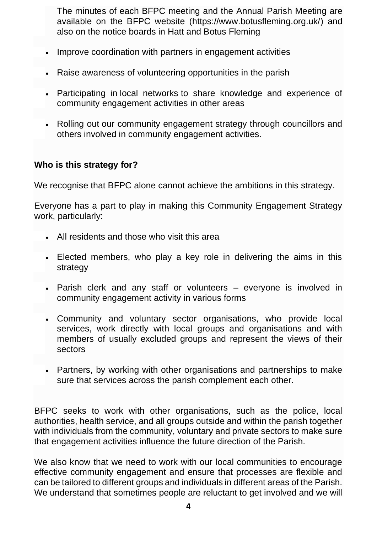The minutes of each BFPC meeting and the Annual Parish Meeting are available on the BFPC website (https://www.botusfleming.org.uk/) and also on the notice boards in Hatt and Botus Fleming

- Improve coordination with partners in engagement activities
- Raise awareness of volunteering opportunities in the parish
- Participating in local networks to share knowledge and experience of community engagement activities in other areas
- Rolling out our community engagement strategy through councillors and others involved in community engagement activities.

#### **Who is this strategy for?**

We recognise that BFPC alone cannot achieve the ambitions in this strategy.

Everyone has a part to play in making this Community Engagement Strategy work, particularly:

- All residents and those who visit this area
- Elected members, who play a key role in delivering the aims in this strategy
- Parish clerk and any staff or volunteers everyone is involved in community engagement activity in various forms
- Community and voluntary sector organisations, who provide local services, work directly with local groups and organisations and with members of usually excluded groups and represent the views of their sectors
- Partners, by working with other organisations and partnerships to make sure that services across the parish complement each other.

BFPC seeks to work with other organisations, such as the police, local authorities, health service, and all groups outside and within the parish together with individuals from the community, voluntary and private sectors to make sure that engagement activities influence the future direction of the Parish.

We also know that we need to work with our local communities to encourage effective community engagement and ensure that processes are flexible and can be tailored to different groups and individuals in different areas of the Parish. We understand that sometimes people are reluctant to get involved and we will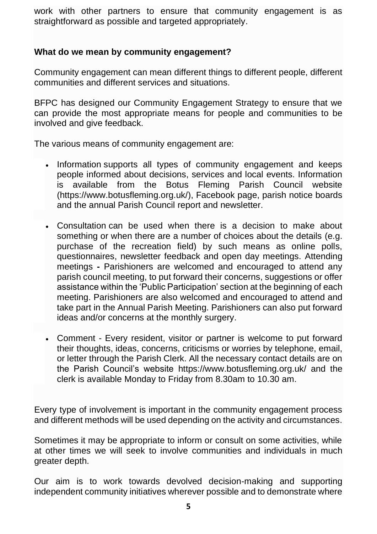work with other partners to ensure that community engagement is as straightforward as possible and targeted appropriately.

#### **What do we mean by community engagement?**

Community engagement can mean different things to different people, different communities and different services and situations.

BFPC has designed our Community Engagement Strategy to ensure that we can provide the most appropriate means for people and communities to be involved and give feedback.

The various means of community engagement are:

- Information supports all types of community engagement and keeps people informed about decisions, services and local events. Information is available from the Botus Fleming Parish Council website (https://www.botusfleming.org.uk/), Facebook page, parish notice boards and the annual Parish Council report and newsletter.
- Consultation can be used when there is a decision to make about something or when there are a number of choices about the details (e.g. purchase of the recreation field) by such means as online polls, questionnaires, newsletter feedback and open day meetings. Attending meetings **-** Parishioners are welcomed and encouraged to attend any parish council meeting, to put forward their concerns, suggestions or offer assistance within the 'Public Participation' section at the beginning of each meeting. Parishioners are also welcomed and encouraged to attend and take part in the Annual Parish Meeting. Parishioners can also put forward ideas and/or concerns at the monthly surgery.
- Comment Every resident, visitor or partner is welcome to put forward their thoughts, ideas, concerns, criticisms or worries by telephone, email, or letter through the Parish Clerk. All the necessary contact details are on the Parish Council's website https://www.botusfleming.org.uk/ and the clerk is available Monday to Friday from 8.30am to 10.30 am.

Every type of involvement is important in the community engagement process and different methods will be used depending on the activity and circumstances.

Sometimes it may be appropriate to inform or consult on some activities, while at other times we will seek to involve communities and individuals in much greater depth.

Our aim is to work towards devolved decision-making and supporting independent community initiatives wherever possible and to demonstrate where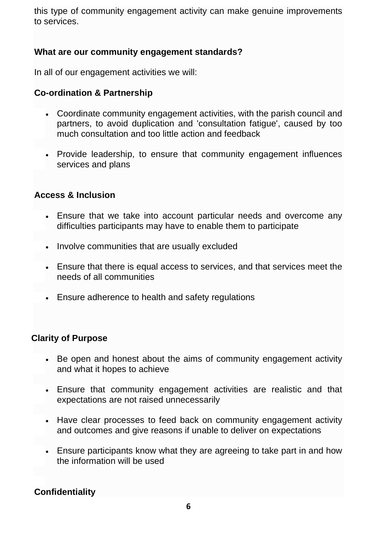this type of community engagement activity can make genuine improvements to services.

#### **What are our community engagement standards?**

In all of our engagement activities we will:

### **Co-ordination & Partnership**

- Coordinate community engagement activities, with the parish council and partners, to avoid duplication and 'consultation fatigue', caused by too much consultation and too little action and feedback
- Provide leadership, to ensure that community engagement influences services and plans

#### **Access & Inclusion**

- Ensure that we take into account particular needs and overcome any difficulties participants may have to enable them to participate
- Involve communities that are usually excluded
- Ensure that there is equal access to services, and that services meet the needs of all communities
- Ensure adherence to health and safety regulations

#### **Clarity of Purpose**

- Be open and honest about the aims of community engagement activity and what it hopes to achieve
- Ensure that community engagement activities are realistic and that expectations are not raised unnecessarily
- Have clear processes to feed back on community engagement activity and outcomes and give reasons if unable to deliver on expectations
- Ensure participants know what they are agreeing to take part in and how the information will be used

## **Confidentiality**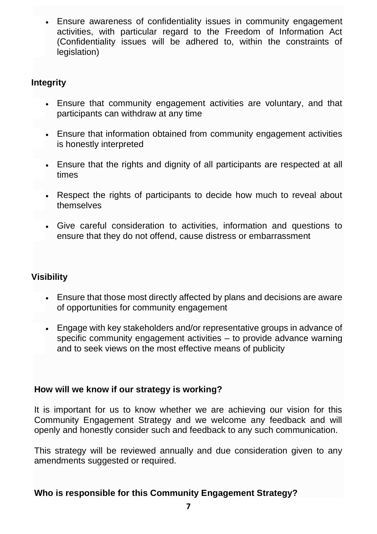• Ensure awareness of confidentiality issues in community engagement activities, with particular regard to the Freedom of Information Act (Confidentiality issues will be adhered to, within the constraints of legislation)

## **Integrity**

- Ensure that community engagement activities are voluntary, and that participants can withdraw at any time
- Ensure that information obtained from community engagement activities is honestly interpreted
- Ensure that the rights and dignity of all participants are respected at all times
- Respect the rights of participants to decide how much to reveal about themselves
- Give careful consideration to activities, information and questions to ensure that they do not offend, cause distress or embarrassment

## **Visibility**

- Ensure that those most directly affected by plans and decisions are aware of opportunities for community engagement
- Engage with key stakeholders and/or representative groups in advance of specific community engagement activities – to provide advance warning and to seek views on the most effective means of publicity

#### **How will we know if our strategy is working?**

It is important for us to know whether we are achieving our vision for this Community Engagement Strategy and we welcome any feedback and will openly and honestly consider such and feedback to any such communication.

This strategy will be reviewed annually and due consideration given to any amendments suggested or required.

#### **Who is responsible for this Community Engagement Strategy?**